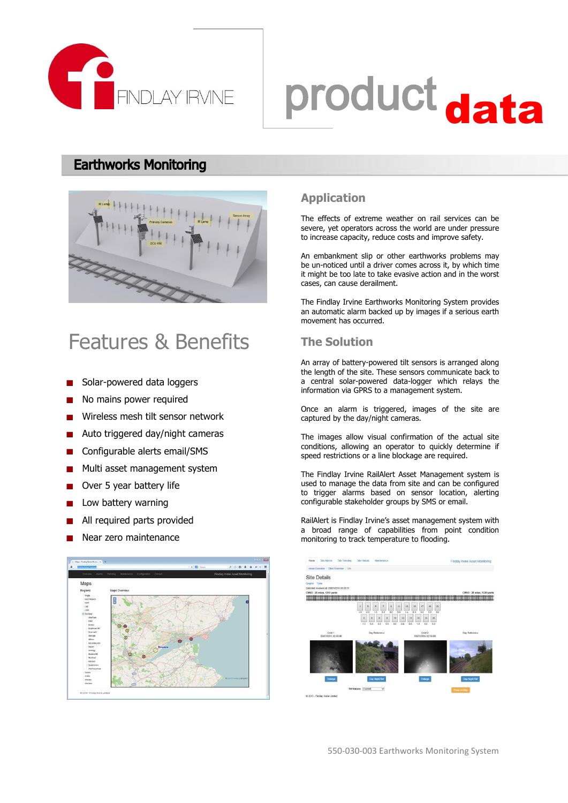

# product data

### **Earthworks Monitoring**



### Features & Benefits

- Solar-powered data loggers
- No mains power required
- Wireless mesh tilt sensor network
- Auto triggered day/night cameras
- Configurable alerts email/SMS
- Multi asset management system **College**
- Over 5 year battery life
- Low battery warning
- All required parts provided
- Near zero maintenance



### **Application**

The effects of extreme weather on rail services can be severe, yet operators across the world are under pressure to increase capacity, reduce costs and improve safety.

An embankment slip or other earthworks problems may be un-noticed until a driver comes across it, by which time it might be too late to take evasive action and in the worst cases, can cause derailment.

The Findlay Irvine Earthworks Monitoring System provides an automatic alarm backed up by images if a serious earth movement has occurred.

### **The Solution**

An array of battery-powered tilt sensors is arranged along the length of the site. These sensors communicate back to a central solar-powered data-logger which relays the information via GPRS to a management system.

Once an alarm is triggered, images of the site are captured by the day/night cameras.

The images allow visual confirmation of the actual site conditions, allowing an operator to quickly determine if speed restrictions or a line blockage are required.

The Findlay Irvine RailAlert Asset Management system is used to manage the data from site and can be configured to trigger alarms based on sensor location, alerting configurable stakeholder groups by SMS or email.

RailAlert is Findlay Irvine's asset management system with a broad range of capabilities from point condition monitoring to track temperature to flooding.